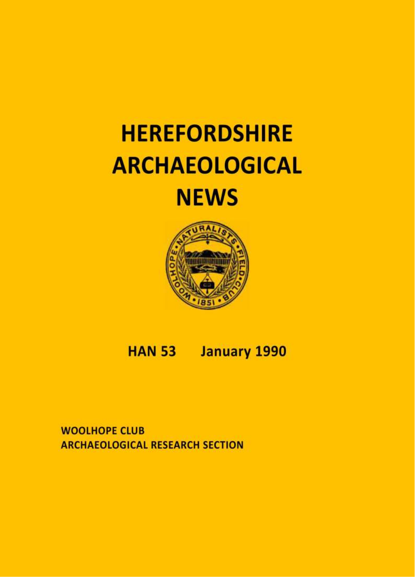# **HEREFORDSHIRE ARCHAEOLOGICAL NEWS**



#### **HAN 53 January 1990**

**WOOLHOPE CLUB ARCHAEOLOGICAL RESEARCH SECTION**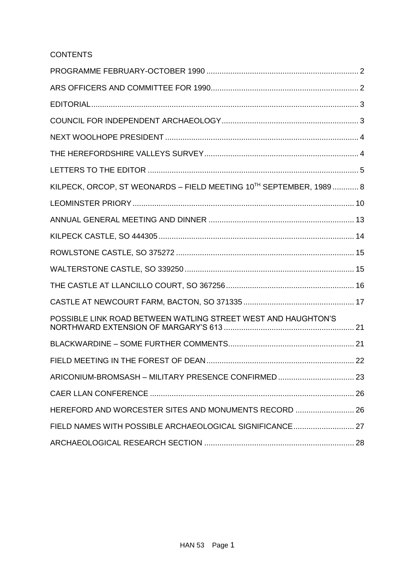# **CONTENTS**

| KILPECK, ORCOP, ST WEONARDS - FIELD MEETING 10TH SEPTEMBER, 1989 8 |  |
|--------------------------------------------------------------------|--|
|                                                                    |  |
|                                                                    |  |
|                                                                    |  |
|                                                                    |  |
|                                                                    |  |
|                                                                    |  |
|                                                                    |  |
| POSSIBLE LINK ROAD BETWEEN WATLING STREET WEST AND HAUGHTON'S      |  |
|                                                                    |  |
|                                                                    |  |
| ARICONIUM-BROMSASH - MILITARY PRESENCE CONFIRMED 23                |  |
|                                                                    |  |
| HEREFORD AND WORCESTER SITES AND MONUMENTS RECORD  26              |  |
| FIELD NAMES WITH POSSIBLE ARCHAEOLOGICAL SIGNIFICANCE 27           |  |
|                                                                    |  |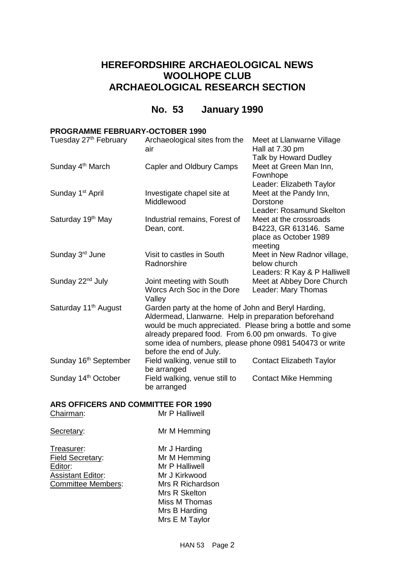# **HEREFORDSHIRE ARCHAEOLOGICAL NEWS WOOLHOPE CLUB ARCHAEOLOGICAL RESEARCH SECTION**

# **No. 53 January 1990**

# <span id="page-2-0"></span>**PROGRAMME FEBRUARY-OCTOBER 1990**

| Tuesday 27 <sup>th</sup> February | Archaeological sites from the<br>air                                                                                                                                                                                                                                                                                   | Meet at Llanwarne Village<br>Hall at 7.30 pm                                            |
|-----------------------------------|------------------------------------------------------------------------------------------------------------------------------------------------------------------------------------------------------------------------------------------------------------------------------------------------------------------------|-----------------------------------------------------------------------------------------|
| Sunday 4 <sup>th</sup> March      | Capler and Oldbury Camps                                                                                                                                                                                                                                                                                               | Talk by Howard Dudley<br>Meet at Green Man Inn,<br>Fownhope<br>Leader: Elizabeth Taylor |
| Sunday 1 <sup>st</sup> April      | Investigate chapel site at<br>Middlewood                                                                                                                                                                                                                                                                               | Meet at the Pandy Inn,<br>Dorstone<br>Leader: Rosamund Skelton                          |
| Saturday 19 <sup>th</sup> May     | Industrial remains, Forest of<br>Dean, cont.                                                                                                                                                                                                                                                                           | Meet at the crossroads<br>B4223, GR 613146. Same<br>place as October 1989<br>meeting    |
| Sunday 3rd June                   | Visit to castles in South<br>Radnorshire                                                                                                                                                                                                                                                                               | Meet in New Radnor village,<br>below church<br>Leaders: R Kay & P Halliwell             |
| Sunday 22 <sup>nd</sup> July      | Joint meeting with South<br>Worcs Arch Soc in the Dore<br>Valley                                                                                                                                                                                                                                                       | Meet at Abbey Dore Church<br>Leader: Mary Thomas                                        |
| Saturday 11 <sup>th</sup> August  | Garden party at the home of John and Beryl Harding,<br>Aldermead, Llanwarne. Help in preparation beforehand<br>would be much appreciated. Please bring a bottle and some<br>already prepared food. From 6.00 pm onwards. To give<br>some idea of numbers, please phone 0981 540473 or write<br>before the end of July. |                                                                                         |
| Sunday 16 <sup>th</sup> September | Field walking, venue still to<br>be arranged                                                                                                                                                                                                                                                                           | <b>Contact Elizabeth Taylor</b>                                                         |
| Sunday 14 <sup>th</sup> October   | Field walking, venue still to<br>be arranged                                                                                                                                                                                                                                                                           | <b>Contact Mike Hemming</b>                                                             |

# **ARS OFFICERS AND COMMITTEE FOR 1990**

| Chairman:                                                                                          | Mr P Halliwell                                                                                                                                           |
|----------------------------------------------------------------------------------------------------|----------------------------------------------------------------------------------------------------------------------------------------------------------|
| Secretary:                                                                                         | Mr M Hemming                                                                                                                                             |
| Treasurer:<br><b>Field Secretary:</b><br>Editor:<br><b>Assistant Editor:</b><br>Committee Members: | Mr J Harding<br>Mr M Hemming<br>Mr P Halliwell<br>Mr J Kirkwood<br>Mrs R Richardson<br>Mrs R Skelton<br>Miss M Thomas<br>Mrs B Harding<br>Mrs E M Taylor |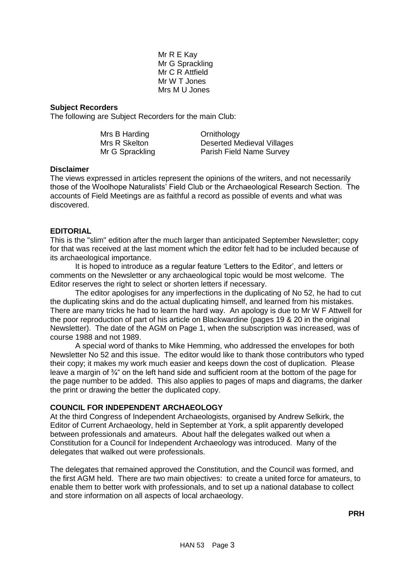Mr R E Kay Mr G Sprackling Mr C R Attfield Mr W T Jones Mrs M U Jones

# **Subject Recorders**

The following are Subject Recorders for the main Club:

| Mrs B Harding   | Ornithology                       |
|-----------------|-----------------------------------|
| Mrs R Skelton   | <b>Deserted Medieval Villages</b> |
| Mr G Sprackling | Parish Field Name Survey          |

#### **Disclaimer**

The views expressed in articles represent the opinions of the writers, and not necessarily those of the Woolhope Naturalists' Field Club or the Archaeological Research Section. The accounts of Field Meetings are as faithful a record as possible of events and what was discovered.

# <span id="page-3-0"></span>**EDITORIAL**

This is the "slim" edition after the much larger than anticipated September Newsletter; copy for that was received at the last moment which the editor felt had to be included because of its archaeological importance.

It is hoped to introduce as a regular feature 'Letters to the Editor', and letters or comments on the Newsletter or any archaeological topic would be most welcome. The Editor reserves the right to select or shorten letters if necessary.

The editor apologises for any imperfections in the duplicating of No 52, he had to cut the duplicating skins and do the actual duplicating himself, and learned from his mistakes. There are many tricks he had to learn the hard way. An apology is due to Mr W F Attwell for the poor reproduction of part of his article on Blackwardine (pages 19 & 20 in the original Newsletter). The date of the AGM on Page 1, when the subscription was increased, was of course 1988 and not 1989.

A special word of thanks to Mike Hemming, who addressed the envelopes for both Newsletter No 52 and this issue. The editor would like to thank those contributors who typed their copy; it makes my work much easier and keeps down the cost of duplication. Please leave a margin of 3/4" on the left hand side and sufficient room at the bottom of the page for the page number to be added. This also applies to pages of maps and diagrams, the darker the print or drawing the better the duplicated copy.

# <span id="page-3-1"></span>**COUNCIL FOR INDEPENDENT ARCHAEOLOGY**

At the third Congress of Independent Archaeologists, organised by Andrew Selkirk, the Editor of Current Archaeology, held in September at York, a split apparently developed between professionals and amateurs. About half the delegates walked out when a Constitution for a Council for Independent Archaeology was introduced. Many of the delegates that walked out were professionals.

The delegates that remained approved the Constitution, and the Council was formed, and the first AGM held. There are two main objectives: to create a united force for amateurs, to enable them to better work with professionals, and to set up a national database to collect and store information on all aspects of local archaeology.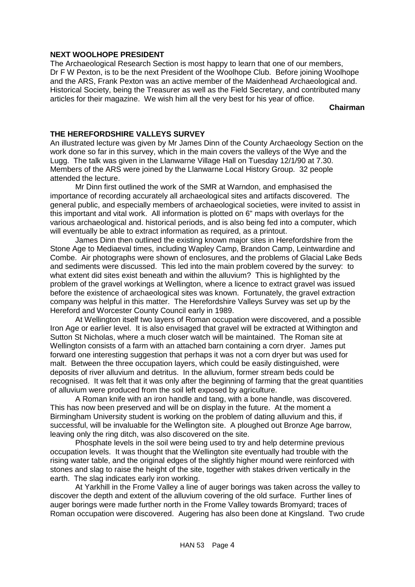# <span id="page-4-0"></span>**NEXT WOOLHOPE PRESIDENT**

The Archaeological Research Section is most happy to learn that one of our members, Dr F W Pexton, is to be the next President of the Woolhope Club. Before joining Woolhope and the ARS, Frank Pexton was an active member of the Maidenhead Archaeological and. Historical Society, being the Treasurer as well as the Field Secretary, and contributed many articles for their magazine. We wish him all the very best for his year of office.

**Chairman**

# <span id="page-4-1"></span>**THE HEREFORDSHIRE VALLEYS SURVEY**

An illustrated lecture was given by Mr James Dinn of the County Archaeology Section on the work done so far in this survey, which in the main covers the valleys of the Wye and the Lugg. The talk was given in the Llanwarne Village Hall on Tuesday 12/1/90 at 7.30. Members of the ARS were joined by the Llanwarne Local History Group. 32 people attended the lecture.

Mr Dinn first outlined the work of the SMR at Warndon, and emphasised the importance of recording accurately all archaeological sites and artifacts discovered. The general public, and especially members of archaeological societies, were invited to assist in this important and vital work. All information is plotted on 6" maps with overlays for the various archaeological and. historical periods, and is also being fed into a computer, which will eventually be able to extract information as required, as a printout.

James Dinn then outlined the existing known major sites in Herefordshire from the Stone Age to Mediaeval times, including Wapley Camp, Brandon Camp, Leintwardine and Combe. Air photographs were shown of enclosures, and the problems of Glacial Lake Beds and sediments were discussed. This led into the main problem covered by the survey: to what extent did sites exist beneath and within the alluvium? This is highlighted by the problem of the gravel workings at Wellington, where a licence to extract gravel was issued before the existence of archaeological sites was known. Fortunately, the gravel extraction company was helpful in this matter. The Herefordshire Valleys Survey was set up by the Hereford and Worcester County Council early in 1989.

At Wellington itself two layers of Roman occupation were discovered, and a possible Iron Age or earlier level. It is also envisaged that gravel will be extracted at Withington and Sutton St Nicholas, where a much closer watch will be maintained. The Roman site at Wellington consists of a farm with an attached barn containing a corn dryer. James put forward one interesting suggestion that perhaps it was not a corn dryer but was used for malt. Between the three occupation layers, which could be easily distinguished, were deposits of river alluvium and detritus. In the alluvium, former stream beds could be recognised. It was felt that it was only after the beginning of farming that the great quantities of alluvium were produced from the soil left exposed by agriculture.

A Roman knife with an iron handle and tang, with a bone handle, was discovered. This has now been preserved and will be on display in the future. At the moment a Birmingham University student is working on the problem of dating alluvium and this, if successful, will be invaluable for the Wellington site. A ploughed out Bronze Age barrow, leaving only the ring ditch, was also discovered on the site.

Phosphate levels in the soil were being used to try and help determine previous occupation levels. It was thought that the Wellington site eventually had trouble with the rising water table, and the original edges of the slightly higher mound were reinforced with stones and slag to raise the height of the site, together with stakes driven vertically in the earth. The slag indicates early iron working.

At Yarkhill in the Frome Valley a line of auger borings was taken across the valley to discover the depth and extent of the alluvium covering of the old surface. Further lines of auger borings were made further north in the Frome Valley towards Bromyard; traces of Roman occupation were discovered. Augering has also been done at Kingsland. Two crude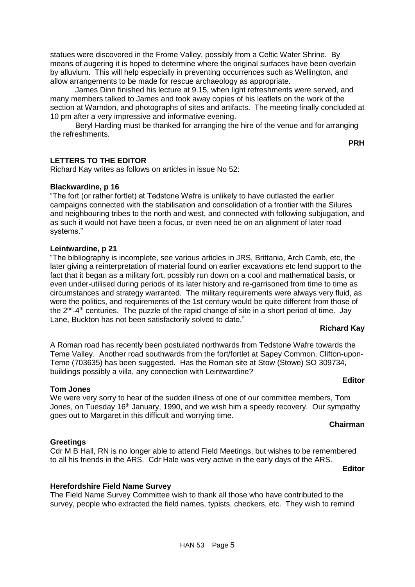statues were discovered in the Frome Valley, possibly from a Celtic Water Shrine. By means of augering it is hoped to determine where the original surfaces have been overlain by alluvium. This will help especially in preventing occurrences such as Wellington, and allow arrangements to be made for rescue archaeology as appropriate.

James Dinn finished his lecture at 9.15, when light refreshments were served, and many members talked to James and took away copies of his leaflets on the work of the section at Warndon, and photographs of sites and artifacts. The meeting finally concluded at 10 pm after a very impressive and informative evening.

Beryl Harding must be thanked for arranging the hire of the venue and for arranging the refreshments.

**PRH**

# <span id="page-5-0"></span>**LETTERS TO THE EDITOR**

Richard Kay writes as follows on articles in issue No 52:

# **Blackwardine, p 16**

"The fort (or rather fortlet) at Tedstone Wafre is unlikely to have outlasted the earlier campaigns connected with the stabilisation and consolidation of a frontier with the Silures and neighbouring tribes to the north and west, and connected with following subjugation, and as such it would not have been a focus, or even need be on an alignment of later road systems."

# **Leintwardine, p 21**

"The bibliography is incomplete, see various articles in JRS, Brittania, Arch Camb, etc, the later giving a reinterpretation of material found on earlier excavations etc lend support to the fact that it began as a military fort, possibly run down on a cool and mathematical basis, or even under-utilised during periods of its later history and re-garrisoned from time to time as circumstances and strategy warranted. The military requirements were always very fluid, as were the politics, and requirements of the 1st century would be quite different from those of the  $2^{nd}$ -4<sup>th</sup> centuries. The puzzle of the rapid change of site in a short period of time. Jay Lane, Buckton has not been satisfactorily solved to date."

# **Richard Kay**

A Roman road has recently been postulated northwards from Tedstone Wafre towards the Teme Valley. Another road southwards from the fort/fortlet at Sapey Common, Clifton-upon-Teme (703635) has been suggested. Has the Roman site at Stow (Stowe) SO 309734, buildings possibly a villa, any connection with Leintwardine?

#### **Tom Jones**

We were very sorry to hear of the sudden illness of one of our committee members, Tom Jones, on Tuesday 16<sup>th</sup> January, 1990, and we wish him a speedy recovery. Our sympathy goes out to Margaret in this difficult and worrying time.

#### **Chairman**

**Editor**

#### **Greetings**

# Cdr M B Hall, RN is no longer able to attend Field Meetings, but wishes to be remembered to all his friends in the ARS. Cdr Hale was very active in the early days of the ARS.

#### **Editor**

#### **Herefordshire Field Name Survey**

The Field Name Survey Committee wish to thank all those who have contributed to the survey, people who extracted the field names, typists, checkers, etc. They wish to remind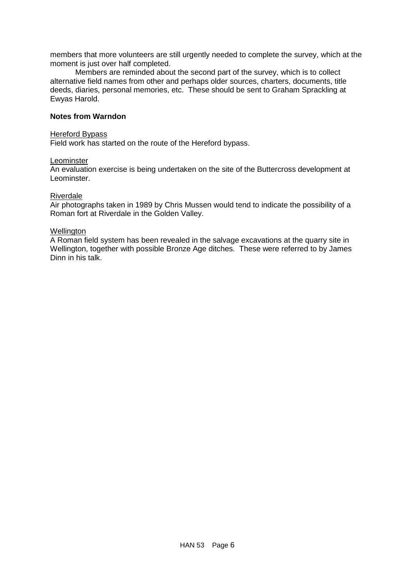members that more volunteers are still urgently needed to complete the survey, which at the moment is just over half completed.

Members are reminded about the second part of the survey, which is to collect alternative field names from other and perhaps older sources, charters, documents, title deeds, diaries, personal memories, etc. These should be sent to Graham Sprackling at Ewyas Harold.

# **Notes from Warndon**

# Hereford Bypass

Field work has started on the route of the Hereford bypass.

#### Leominster

An evaluation exercise is being undertaken on the site of the Buttercross development at Leominster.

#### Riverdale

Air photographs taken in 1989 by Chris Mussen would tend to indicate the possibility of a Roman fort at Riverdale in the Golden Valley.

#### **Wellington**

A Roman field system has been revealed in the salvage excavations at the quarry site in Wellington, together with possible Bronze Age ditches. These were referred to by James Dinn in his talk.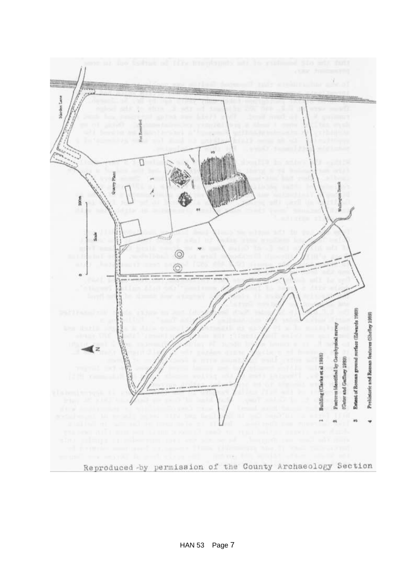

HAN 53 Page 7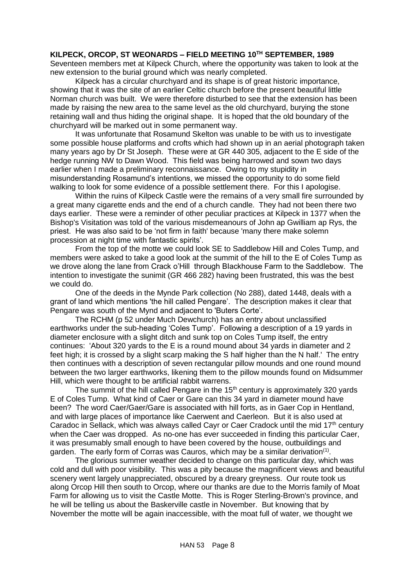# <span id="page-8-0"></span>**KILPECK, ORCOP, ST WEONARDS – FIELD MEETING 10TH SEPTEMBER, 1989**

Seventeen members met at Kilpeck Church, where the opportunity was taken to look at the new extension to the burial ground which was nearly completed.

Kilpeck has a circular churchyard and its shape is of great historic importance, showing that it was the site of an earlier Celtic church before the present beautiful little Norman church was built. We were therefore disturbed to see that the extension has been made by raising the new area to the same level as the old churchyard, burying the stone retaining wall and thus hiding the original shape. It is hoped that the old boundary of the churchyard will be marked out in some permanent way.

It was unfortunate that Rosamund Skelton was unable to be with us to investigate some possible house platforms and crofts which had shown up in an aerial photograph taken many years ago by Dr St Joseph. These were at GR 440 305, adjacent to the E side of the hedge running NW to Dawn Wood. This field was being harrowed and sown two days earlier when I made a preliminary reconnaissance. Owing to my stupidity in misunderstanding Rosamund's intentions, we missed the opportunity to do some field walking to look for some evidence of a possible settlement there. For this I apologise.

Within the ruins of Kilpeck Castle were the remains of a very small fire surrounded by a great many cigarette ends and the end of a church candle. They had not been there two days earlier. These were a reminder of other peculiar practices at Kilpeck in 1377 when the Bishop's Visitation was told of the various misdemeanours of John ap Gwilliam ap Rys, the priest. He was also said to be 'not firm in faith' because 'many there make solemn procession at night time with fantastic spirits'.

From the top of the motte we could look SE to Saddlebow Hill and Coles Tump, and members were asked to take a good look at the summit of the hill to the E of Coles Tump as we drove along the lane from Crack o'Hill through BIackhouse Farm to the Saddlebow. The intention to investigate the sunimit (GR 466 282) having been frustrated, this was the best we could do.

One of the deeds in the Mynde Park collection (No 288), dated 1448, deals with a grant of land which mentions 'the hill called Pengare'. The description makes it clear that Pengare was south of the Mynd and adjacent to 'Buters Corte'.

The RCHM (p 52 under Much Dewchurch) has an entry about unclassified earthworks under the sub-heading 'Coles Tump'. Following a description of a 19 yards in diameter enclosure with a slight ditch and sunk top on Coles Tump itself, the entry continues: 'About 320 yards to the E is a round mound about 34 yards in diameter and 2 feet high; it is crossed by a slight scarp making the S half higher than the N half.' The entry then continues with a description of seven rectangular pillow mounds and one round mound between the two larger earthworks, likening them to the pillow mounds found on Midsummer Hill, which were thought to be artificial rabbit warrens.

The summit of the hill called Pengare in the  $15<sup>th</sup>$  century is approximately 320 yards E of Coles Tump. What kind of Caer or Gare can this 34 yard in diameter mound have been? The word Caer/Gaer/Gare is associated with hill forts, as in Gaer Cop in Hentland, and with large places of importance like Caerwent and Caerleon. But it is also used at Caradoc in Sellack, which was always called Cayr or Caer Cradock until the mid  $17<sup>th</sup>$  century when the Caer was dropped. As no-one has ever succeeded in finding this particular Caer, it was presumably small enough to have been covered by the house, outbuildings and garden. The early form of Corras was Cauros, which may be a similar derivation<sup>(1)</sup>.

The glorious summer weather decided to change on this particular day, which was cold and dull with poor visibility. This was a pity because the magnificent views and beautiful scenery went largely unappreciated, obscured by a dreary greyness. Our route took us along Orcop Hill then south to Orcop, where our thanks are due to the Morris family of Moat Farm for allowing us to visit the Castle Motte. This is Roger Sterling-Brown's province, and he will be telling us about the Baskerville castle in November. But knowing that by November the motte will be again inaccessible, with the moat full of water, we thought we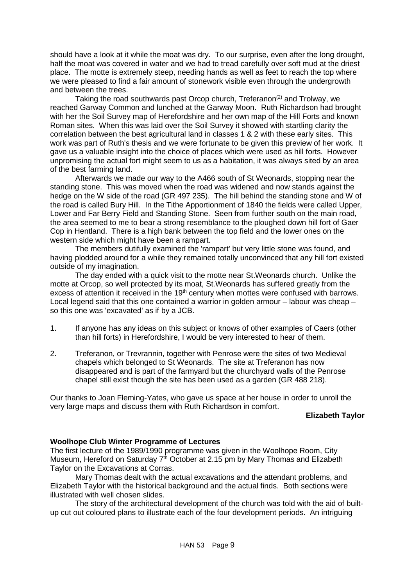should have a look at it while the moat was dry. To our surprise, even after the long drought, half the moat was covered in water and we had to tread carefully over soft mud at the driest place. The motte is extremely steep, needing hands as well as feet to reach the top where we were pleased to find a fair amount of stonework visible even through the undergrowth and between the trees.

Taking the road southwards past Orcop church, Treferanon<sup>(2)</sup> and Trolway, we reached Garway Common and lunched at the Garway Moon. Ruth Richardson had brought with her the Soil Survey map of Herefordshire and her own map of the Hill Forts and known Roman sites. When this was laid over the Soil Survey it showed with startling clarity the correlation between the best agricultural land in classes 1 & 2 with these early sites. This work was part of Ruth's thesis and we were fortunate to be given this preview of her work. It gave us a valuable insight into the choice of places which were used as hill forts. However unpromising the actual fort might seem to us as a habitation, it was always sited by an area of the best farming land.

Afterwards we made our way to the A466 south of St Weonards, stopping near the standing stone. This was moved when the road was widened and now stands against the hedge on the W side of the road (GR 497 235). The hill behind the standing stone and W of the road is called Bury Hill. In the Tithe Apportionment of 1840 the fields were called Upper, Lower and Far Berry Field and Standing Stone. Seen from further south on the main road, the area seemed to me to bear a strong resemblance to the ploughed down hill fort of Gaer Cop in Hentland. There is a high bank between the top field and the lower ones on the western side which might have been a rampart.

The members dutifully examined the 'rampart' but very little stone was found, and having plodded around for a while they remained totally unconvinced that any hill fort existed outside of my imagination.

The day ended with a quick visit to the motte near St.Weonards church. Unlike the motte at Orcop, so well protected by its moat, St.Weonards has suffered greatly from the excess of attention it received in the 19<sup>th</sup> century when mottes were confused with barrows. Local legend said that this one contained a warrior in golden armour – labour was cheap – so this one was 'excavated' as if by a JCB.

- 1. If anyone has any ideas on this subject or knows of other examples of Caers (other than hill forts) in Herefordshire, I would be very interested to hear of them.
- 2. Treferanon, or Trevrannin, together with Penrose were the sites of two Medieval chapels which belonged to St Weonards. The site at Treferanon has now disappeared and is part of the farmyard but the churchyard walls of the Penrose chapel still exist though the site has been used as a garden (GR 488 218).

Our thanks to Joan Fleming-Yates, who gave us space at her house in order to unroll the very large maps and discuss them with Ruth Richardson in comfort.

# **Elizabeth Taylor**

#### **Woolhope Club Winter Programme of Lectures**

The first lecture of the 1989/1990 programme was given in the Woolhope Room, City Museum, Hereford on Saturday  $7<sup>th</sup>$  October at 2.15 pm by Mary Thomas and Elizabeth Taylor on the Excavations at Corras.

Mary Thomas dealt with the actual excavations and the attendant problems, and Elizabeth Taylor with the historical background and the actual finds. Both sections were illustrated with well chosen slides.

The story of the architectural development of the church was told with the aid of builtup cut out coloured plans to illustrate each of the four development periods. An intriguing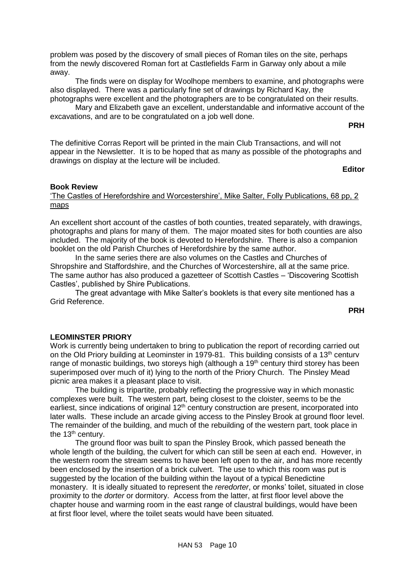problem was posed by the discovery of small pieces of Roman tiles on the site, perhaps from the newly discovered Roman fort at Castlefields Farm in Garway only about a mile away.

The finds were on display for Woolhope members to examine, and photographs were also displayed. There was a particularly fine set of drawings by Richard Kay, the photographs were excellent and the photographers are to be congratulated on their results.

Mary and Elizabeth gave an excellent, understandable and informative account of the excavations, and are to be congratulated on a job well done.

#### **PRH**

The definitive Corras Report will be printed in the main Club Transactions, and will not appear in the Newsletter. It is to be hoped that as many as possible of the photographs and drawings on display at the lecture will be included.

#### **Editor**

#### **Book Review**

# 'The Castles of Herefordshire and Worcestershire', Mike Salter, Folly Publications, 68 pp, 2 maps

An excellent short account of the castles of both counties, treated separately, with drawings, photographs and plans for many of them. The major moated sites for both counties are also included. The majority of the book is devoted to Herefordshire. There is also a companion booklet on the old Parish Churches of Herefordshire by the same author.

In the same series there are also volumes on the Castles and Churches of Shropshire and Staffordshire, and the Churches of Worcestershire, all at the same price. The same author has also produced a gazetteer of Scottish Castles – 'Discovering Scottish Castles', published by Shire Publications.

The great advantage with Mike Salter's booklets is that every site mentioned has a Grid Reference.

**PRH**

#### <span id="page-10-0"></span>**LEOMINSTER PRIORY**

Work is currently being undertaken to bring to publication the report of recording carried out on the Old Priory building at Leominster in 1979-81. This building consists of a 13<sup>th</sup> century range of monastic buildings, two storeys high (although a 19<sup>th</sup> century third storey has been superimposed over much of it) lying to the north of the Priory Church. The Pinsley Mead picnic area makes it a pleasant place to visit.

The building is tripartite, probably reflecting the progressive way in which monastic complexes were built. The western part, being closest to the cloister, seems to be the earliest, since indications of original 12<sup>th</sup> century construction are present, incorporated into later walls. These include an arcade giving access to the Pinsley Brook at ground floor level. The remainder of the building, and much of the rebuilding of the western part, took place in the  $13<sup>th</sup>$  century.

The ground floor was built to span the Pinsley Brook, which passed beneath the whole length of the building, the culvert for which can still be seen at each end. However, in the western room the stream seems to have been left open to the air, and has more recently been enclosed by the insertion of a brick culvert. The use to which this room was put is suggested by the location of the building within the layout of a typical Benedictine monastery. It is ideally situated to represent the *reredorter*, or monks' toilet, situated in close proximity to the *dorter* or dormitory. Access from the latter, at first floor level above the chapter house and warming room in the east range of claustral buildings, would have been at first floor level, where the toilet seats would have been situated.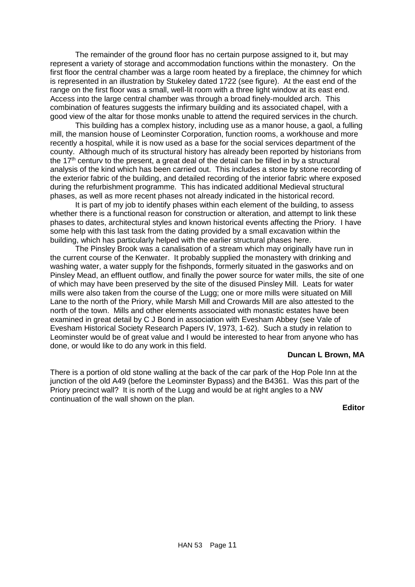The remainder of the ground floor has no certain purpose assigned to it, but may represent a variety of storage and accommodation functions within the monastery. On the first floor the central chamber was a large room heated by a fireplace, the chimney for which is represented in an illustration by Stukeley dated 1722 (see figure). At the east end of the range on the first floor was a small, well-lit room with a three light window at its east end. Access into the large central chamber was through a broad finely-moulded arch. This combination of features suggests the infirmary building and its associated chapel, with a good view of the altar for those monks unable to attend the required services in the church.

This building has a complex history, including use as a manor house, a gaol, a fulling mill, the mansion house of Leominster Corporation, function rooms, a workhouse and more recently a hospital, while it is now used as a base for the social services department of the county. Although much of its structural history has already been reported by historians from the  $17<sup>th</sup>$  century to the present, a great deal of the detail can be filled in by a structural analysis of the kind which has been carried out. This includes a stone by stone recording of the exterior fabric of the building, and detailed recording of the interior fabric where exposed during the refurbishment programme. This has indicated additional Medieval structural phases, as well as more recent phases not already indicated in the historical record.

It is part of my job to identify phases within each element of the building, to assess whether there is a functional reason for construction or alteration, and attempt to link these phases to dates, architectural styles and known historical events affecting the Priory. I have some help with this last task from the dating provided by a small excavation within the building, which has particularly helped with the earlier structural phases here.

The Pinsley Brook was a canalisation of a stream which may originally have run in the current course of the Kenwater. It probably supplied the monastery with drinking and washing water, a water supply for the fishponds, formerly situated in the gasworks and on Pinsley Mead, an effluent outflow, and finally the power source for water mills, the site of one of which may have been preserved by the site of the disused Pinsley Mill. Leats for water mills were also taken from the course of the Lugg; one or more mills were situated on Mill Lane to the north of the Priory, while Marsh Mill and Crowards Mill are also attested to the north of the town. Mills and other elements associated with monastic estates have been examined in great detail by C J Bond in association with Evesham Abbey (see Vale of Evesham Historical Society Research Papers IV, 1973, 1-62). Such a study in relation to Leominster would be of great value and I would be interested to hear from anyone who has done, or would like to do any work in this field.

#### **Duncan L Brown, MA**

There is a portion of old stone walling at the back of the car park of the Hop Pole Inn at the junction of the old A49 (before the Leominster Bypass) and the B4361. Was this part of the Priory precinct wall? It is north of the Lugg and would be at right angles to a NW continuation of the wall shown on the plan.

**Editor**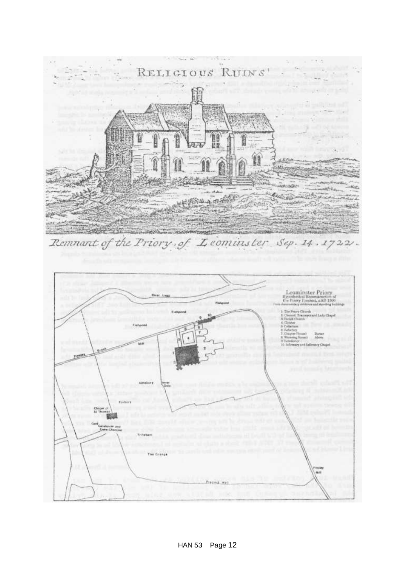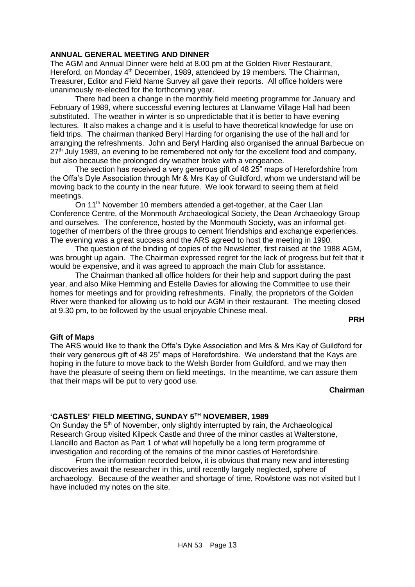# <span id="page-13-0"></span>**ANNUAL GENERAL MEETING AND DINNER**

The AGM and Annual Dinner were held at 8.00 pm at the Golden River Restaurant, Hereford, on Monday 4<sup>th</sup> December, 1989, attendeed by 19 members. The Chairman, Treasurer, Editor and Field Name Survey all gave their reports. All office holders were unanimously re-elected for the forthcoming year.

There had been a change in the monthly field meeting programme for January and February of 1989, where successful evening lectures at Llanwarne Village Hall had been substituted. The weather in winter is so unpredictable that it is better to have evening lectures. It also makes a change and it is useful to have theoretical knowledge for use on field trips. The chairman thanked Beryl Harding for organising the use of the hall and for arranging the refreshments. John and Beryl Harding also organised the annual Barbecue on  $27<sup>th</sup>$  July 1989, an evening to be remembered not only for the excellent food and company. but also because the prolonged dry weather broke with a vengeance.

The section has received a very generous gift of 48 25" maps of Herefordshire from the Offa's Dyle Association through Mr & Mrs Kay of Guildford, whom we understand will be moving back to the county in the near future. We look forward to seeing them at field meetings.

On 11<sup>th</sup> November 10 members attended a get-together, at the Caer Llan Conference Centre, of the Monmouth Archaeological Society, the Dean Archaeology Group and ourselves. The conference, hosted by the Monmouth Society, was an informal gettogether of members of the three groups to cement friendships and exchange experiences. The evening was a great success and the ARS agreed to host the meeting in 1990.

The question of the binding of copies of the Newsletter, first raised at the 1988 AGM, was brought up again. The Chairman expressed regret for the lack of progress but felt that it would be expensive, and it was agreed to approach the main Club for assistance.

The Chairman thanked all office holders for their help and support during the past year, and also Mike Hemming and Estelle Davies for allowing the Committee to use their homes for meetings and for providing refreshments. Finally, the proprietors of the Golden River were thanked for allowing us to hold our AGM in their restaurant. The meeting closed at 9.30 pm, to be followed by the usual enjoyable Chinese meal.

**PRH**

#### **Gift of Maps**

The ARS would like to thank the Offa's Dyke Association and Mrs & Mrs Kay of Guildford for their very generous gift of 48 25" maps of Herefordshire. We understand that the Kays are hoping in the future to move back to the Welsh Border from Guildford, and we may then have the pleasure of seeing them on field meetings. In the meantime, we can assure them that their maps will be put to very good use.

# **Chairman**

# **'CASTLES' FIELD MEETING, SUNDAY 5TH NOVEMBER, 1989**

On Sunday the 5<sup>th</sup> of November, only slightly interrupted by rain, the Archaeological Research Group visited Kilpeck Castle and three of the minor castles at Walterstone, Llancillo and Bacton as Part 1 of what will hopefully be a long term programme of investigation and recording of the remains of the minor castles of Herefordshire.

From the information recorded below, it is obvious that many new and interesting discoveries await the researcher in this, until recently largely neglected, sphere of archaeology. Because of the weather and shortage of time, Rowlstone was not visited but I have included my notes on the site.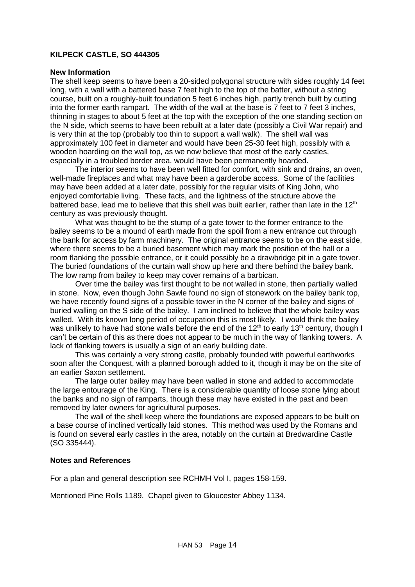# <span id="page-14-0"></span>**KILPECK CASTLE, SO 444305**

#### **New Information**

The shell keep seems to have been a 20-sided polygonal structure with sides roughly 14 feet long, with a wall with a battered base 7 feet high to the top of the batter, without a string course, built on a roughly-built foundation 5 feet 6 inches high, partly trench built by cutting into the former earth rampart. The width of the wall at the base is 7 feet to 7 feet 3 inches, thinning in stages to about 5 feet at the top with the exception of the one standing section on the N side, which seems to have been rebuilt at a later date (possibly a Civil War repair) and is very thin at the top (probably too thin to support a wall walk). The shell wall was approximately 100 feet in diameter and would have been 25-30 feet high, possibly with a wooden hoarding on the wall top, as we now believe that most of the early castles, especially in a troubled border area, would have been permanently hoarded.

The interior seems to have been well fitted for comfort, with sink and drains, an oven, well-made fireplaces and what may have been a garderobe access. Some of the facilities may have been added at a later date, possibly for the regular visits of King John, who enjoyed comfortable living. These facts, and the lightness of the structure above the battered base, lead me to believe that this shell was built earlier, rather than late in the 12<sup>th</sup> century as was previously thought.

What was thought to be the stump of a gate tower to the former entrance to the bailey seems to be a mound of earth made from the spoil from a new entrance cut through the bank for access by farm machinery. The original entrance seems to be on the east side, where there seems to be a buried basement which may mark the position of the hall or a room flanking the possible entrance, or it could possibly be a drawbridge pit in a gate tower. The buried foundations of the curtain wall show up here and there behind the bailey bank. The low ramp from bailey to keep may cover remains of a barbican.

Over time the bailey was first thought to be not walled in stone, then partially walled in stone. Now, even though John Sawle found no sign of stonework on the bailey bank top, we have recently found signs of a possible tower in the N corner of the bailey and signs of buried walling on the S side of the bailey. I am inclined to believe that the whole bailey was walled. With its known long period of occupation this is most likely. I would think the bailey was unlikely to have had stone walls before the end of the 12<sup>th</sup> to early 13<sup>th</sup> century, though I can't be certain of this as there does not appear to be much in the way of flanking towers. A lack of flanking towers is usually a sign of an early building date.

This was certainly a very strong castle, probably founded with powerful earthworks soon after the Conquest, with a planned borough added to it, though it may be on the site of an earlier Saxon settlement.

The large outer bailey may have been walled in stone and added to accommodate the large entourage of the King. There is a considerable quantity of loose stone lying about the banks and no sign of ramparts, though these may have existed in the past and been removed by later owners for agricultural purposes.

The wall of the shell keep where the foundations are exposed appears to be built on a base course of inclined vertically laid stones. This method was used by the Romans and is found on several early castles in the area, notably on the curtain at Bredwardine Castle (SO 335444).

#### **Notes and References**

For a plan and general description see RCHMH Vol I, pages 158-159.

Mentioned Pine Rolls 1189. Chapel given to Gloucester Abbey 1134.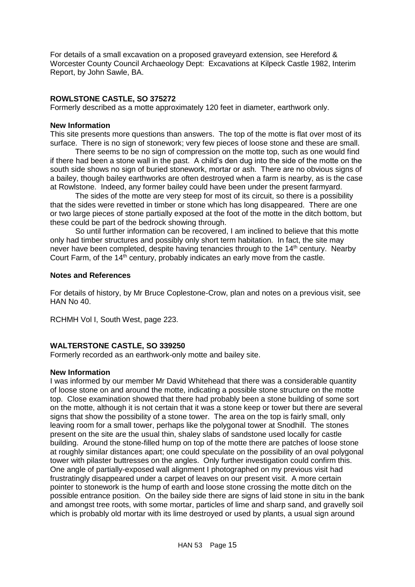For details of a small excavation on a proposed graveyard extension, see Hereford & Worcester County Council Archaeology Dept: Excavations at Kilpeck Castle 1982, Interim Report, by John Sawle, BA.

# <span id="page-15-0"></span>**ROWLSTONE CASTLE, SO 375272**

Formerly described as a motte approximately 120 feet in diameter, earthwork only.

#### **New Information**

This site presents more questions than answers. The top of the motte is flat over most of its surface. There is no sign of stonework; very few pieces of loose stone and these are small.

There seems to be no sign of compression on the motte top, such as one would find if there had been a stone wall in the past. A child's den dug into the side of the motte on the south side shows no sign of buried stonework, mortar or ash. There are no obvious signs of a bailey, though bailey earthworks are often destroyed when a farm is nearby, as is the case at Rowlstone. Indeed, any former bailey could have been under the present farmyard.

The sides of the motte are very steep for most of its circuit, so there is a possibility that the sides were revetted in timber or stone which has long disappeared. There are one or two large pieces of stone partially exposed at the foot of the motte in the ditch bottom, but these could be part of the bedrock showing through.

So until further information can be recovered, I am inclined to believe that this motte only had timber structures and possibly only short term habitation. In fact, the site may never have been completed, despite having tenancies through to the  $14<sup>th</sup>$  century. Nearby Court Farm, of the  $14<sup>th</sup>$  century, probably indicates an early move from the castle.

#### **Notes and References**

For details of history, by Mr Bruce Coplestone-Crow, plan and notes on a previous visit, see HAN No 40.

RCHMH Vol I, South West, page 223.

# <span id="page-15-1"></span>**WALTERSTONE CASTLE, SO 339250**

Formerly recorded as an earthwork-only motte and bailey site.

#### **New Information**

I was informed by our member Mr David Whitehead that there was a considerable quantity of loose stone on and around the motte, indicating a possible stone structure on the motte top. Close examination showed that there had probably been a stone building of some sort on the motte, although it is not certain that it was a stone keep or tower but there are several signs that show the possibility of a stone tower. The area on the top is fairly small, only leaving room for a small tower, perhaps like the polygonal tower at Snodhill. The stones present on the site are the usual thin, shaley slabs of sandstone used locally for castle building. Around the stone-filled hump on top of the motte there are patches of loose stone at roughly similar distances apart; one could speculate on the possibility of an oval polygonal tower with pilaster buttresses on the angles. Only further investigation could confirm this. One angle of partially-exposed wall alignment I photographed on my previous visit had frustratingly disappeared under a carpet of leaves on our present visit. A more certain pointer to stonework is the hump of earth and loose stone crossing the motte ditch on the possible entrance position. On the bailey side there are signs of laid stone in situ in the bank and amongst tree roots, with some mortar, particles of lime and sharp sand, and gravelly soil which is probably old mortar with its lime destroyed or used by plants, a usual sign around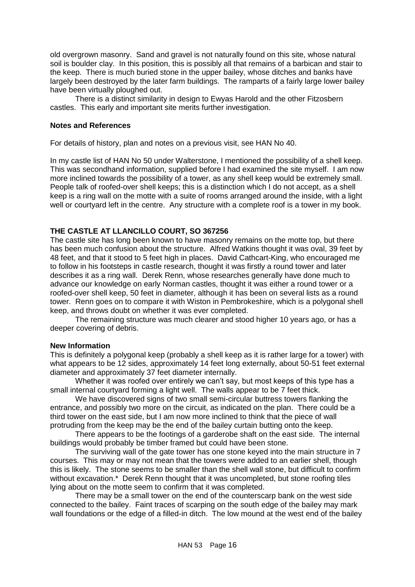old overgrown masonry. Sand and gravel is not naturally found on this site, whose natural soil is boulder clay. In this position, this is possibly all that remains of a barbican and stair to the keep. There is much buried stone in the upper bailey, whose ditches and banks have largely been destroyed by the later farm buildings. The ramparts of a fairly large lower bailey have been virtually ploughed out.

There is a distinct similarity in design to Ewyas Harold and the other Fitzosbern castles. This early and important site merits further investigation.

#### **Notes and References**

For details of history, plan and notes on a previous visit, see HAN No 40.

In my castle list of HAN No 50 under Walterstone, I mentioned the possibility of a shell keep. This was secondhand information, supplied before I had examined the site myself. I am now more inclined towards the possibility of a tower, as any shell keep would be extremely small. People talk of roofed-over shell keeps; this is a distinction which I do not accept, as a shell keep is a ring wall on the motte with a suite of rooms arranged around the inside, with a light well or courtyard left in the centre. Any structure with a complete roof is a tower in my book.

# <span id="page-16-0"></span>**THE CASTLE AT LLANCILLO COURT, SO 367256**

The castle site has long been known to have masonry remains on the motte top, but there has been much confusion about the structure. Alfred Watkins thought it was oval, 39 feet by 48 feet, and that it stood to 5 feet high in places. David Cathcart-King, who encouraged me to follow in his footsteps in castle research, thought it was firstly a round tower and later describes it as a ring wall. Derek Renn, whose researches generally have done much to advance our knowledge on early Norman castles, thought it was either a round tower or a roofed-over shell keep, 50 feet in diameter, although it has been on several lists as a round tower. Renn goes on to compare it with Wiston in Pembrokeshire, which is a polygonal shell keep, and throws doubt on whether it was ever completed.

The remaining structure was much clearer and stood higher 10 years ago, or has a deeper covering of debris.

#### **New Information**

This is definitely a polygonal keep (probably a shell keep as it is rather large for a tower) with what appears to be 12 sides, approximately 14 feet long externally, about 50-51 feet external diameter and approximately 37 feet diameter internally.

Whether it was roofed over entirely we can't say, but most keeps of this type has a small internal courtyard forming a light well. The walls appear to be 7 feet thick.

We have discovered signs of two small semi-circular buttress towers flanking the entrance, and possibly two more on the circuit, as indicated on the plan. There could be a third tower on the east side, but I am now more inclined to think that the piece of wall protruding from the keep may be the end of the bailey curtain butting onto the keep.

There appears to be the footings of a garderobe shaft on the east side. The internal buildings would probably be timber framed but could have been stone.

The surviving wall of the gate tower has one stone keyed into the main structure in 7 courses. This may or may not mean that the towers were added to an earlier shell, though this is likely. The stone seems to be smaller than the shell wall stone, but difficult to confirm without excavation.\* Derek Renn thought that it was uncompleted, but stone roofing tiles lying about on the motte seem to confirm that it was completed.

There may be a small tower on the end of the counterscarp bank on the west side connected to the bailey. Faint traces of scarping on the south edge of the bailey may mark wall foundations or the edge of a filled-in ditch. The low mound at the west end of the bailey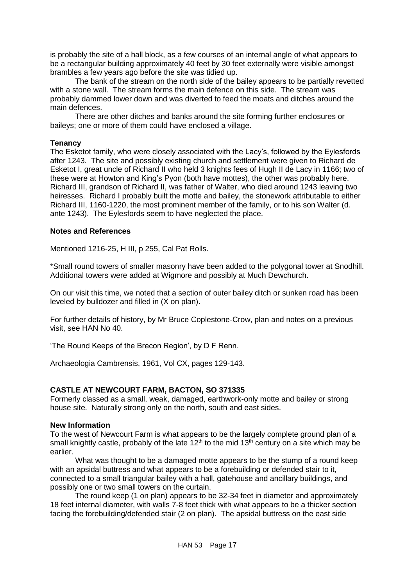is probably the site of a hall block, as a few courses of an internal angle of what appears to be a rectangular building approximately 40 feet by 30 feet externally were visible amongst brambles a few years ago before the site was tidied up.

The bank of the stream on the north side of the bailey appears to be partially revetted with a stone wall. The stream forms the main defence on this side. The stream was probably dammed lower down and was diverted to feed the moats and ditches around the main defences.

There are other ditches and banks around the site forming further enclosures or baileys; one or more of them could have enclosed a village.

# **Tenancy**

The Esketot family, who were closely associated with the Lacy's, followed by the Eylesfords after 1243. The site and possibly existing church and settlement were given to Richard de Esketot I, great uncle of Richard II who held 3 knights fees of Hugh II de Lacy in 1166; two of these were at Howton and King's Pyon (both have mottes), the other was probably here. Richard III, grandson of Richard II, was father of Walter, who died around 1243 leaving two heiresses. Richard I probably built the motte and bailey, the stonework attributable to either Richard III, 1160-1220, the most prominent member of the family, or to his son Walter (d. ante 1243). The Eylesfords seem to have neglected the place.

# **Notes and References**

Mentioned 1216-25, H III, p 255, Cal Pat Rolls.

\*Small round towers of smaller masonry have been added to the polygonal tower at Snodhill. Additional towers were added at Wigmore and possibly at Much Dewchurch.

On our visit this time, we noted that a section of outer bailey ditch or sunken road has been leveled by bulldozer and filled in (X on plan).

For further details of history, by Mr Bruce Coplestone-Crow, plan and notes on a previous visit, see HAN No 40.

'The Round Keeps of the Brecon Region', by D F Renn.

Archaeologia Cambrensis, 1961, Vol CX, pages 129-143.

# <span id="page-17-0"></span>**CASTLE AT NEWCOURT FARM, BACTON, SO 371335**

Formerly classed as a small, weak, damaged, earthwork-only motte and bailey or strong house site. Naturally strong only on the north, south and east sides.

#### **New Information**

To the west of Newcourt Farm is what appears to be the largely complete ground plan of a small knightly castle, probably of the late  $12<sup>th</sup>$  to the mid  $13<sup>th</sup>$  century on a site which may be earlier.

What was thought to be a damaged motte appears to be the stump of a round keep with an apsidal buttress and what appears to be a forebuilding or defended stair to it, connected to a small triangular bailey with a hall, gatehouse and ancillary buildings, and possibly one or two small towers on the curtain.

The round keep (1 on plan) appears to be 32-34 feet in diameter and approximately 18 feet internal diameter, with walls 7-8 feet thick with what appears to be a thicker section facing the forebuilding/defended stair (2 on plan). The apsidal buttress on the east side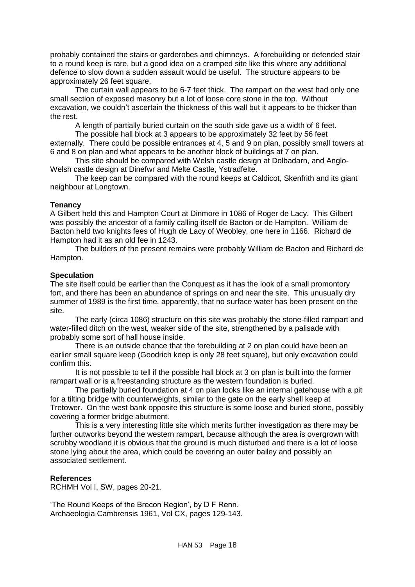probably contained the stairs or garderobes and chimneys. A forebuilding or defended stair to a round keep is rare, but a good idea on a cramped site like this where any additional defence to slow down a sudden assault would be useful. The structure appears to be approximately 26 feet square.

The curtain wall appears to be 6-7 feet thick. The rampart on the west had only one small section of exposed masonry but a lot of loose core stone in the top. Without excavation, we couldn't ascertain the thickness of this wall but it appears to be thicker than the rest.

A length of partially buried curtain on the south side gave us a width of 6 feet.

The possible hall block at 3 appears to be approximately 32 feet by 56 feet externally. There could be possible entrances at 4, 5 and 9 on plan, possibly small towers at 6 and 8 on plan and what appears to be another block of buildings at 7 on plan.

This site should be compared with Welsh castle design at Dolbadarn, and Anglo-Welsh castle design at Dinefwr and Melte Castle, Ystradfelte.

The keep can be compared with the round keeps at Caldicot, Skenfrith and its giant neighbour at Longtown.

# **Tenancy**

A Gilbert held this and Hampton Court at Dinmore in 1086 of Roger de Lacy. This Gilbert was possibly the ancestor of a family calling itself de Bacton or de Hampton. William de Bacton held two knights fees of Hugh de Lacy of Weobley, one here in 1166. Richard de Hampton had it as an old fee in 1243.

The builders of the present remains were probably William de Bacton and Richard de Hampton.

# **Speculation**

The site itself could be earlier than the Conquest as it has the look of a small promontory fort, and there has been an abundance of springs on and near the site. This unusually dry summer of 1989 is the first time, apparently, that no surface water has been present on the site.

The early (circa 1086) structure on this site was probably the stone-filled rampart and water-filled ditch on the west, weaker side of the site, strengthened by a palisade with probably some sort of hall house inside.

There is an outside chance that the forebuilding at 2 on plan could have been an earlier small square keep (Goodrich keep is only 28 feet square), but only excavation could confirm this.

It is not possible to tell if the possible hall block at 3 on plan is built into the former rampart wall or is a freestanding structure as the western foundation is buried.

The partially buried foundation at 4 on plan looks like an internal gatehouse with a pit for a tilting bridge with counterweights, similar to the gate on the early shell keep at Tretower. On the west bank opposite this structure is some loose and buried stone, possibly covering a former bridge abutment.

This is a very interesting little site which merits further investigation as there may be further outworks beyond the western rampart, because although the area is overgrown with scrubby woodland it is obvious that the ground is much disturbed and there is a lot of loose stone lying about the area, which could be covering an outer bailey and possibly an associated settlement.

# **References**

RCHMH Vol I, SW, pages 20-21.

'The Round Keeps of the Brecon Region', by D F Renn. Archaeologia Cambrensis 1961, Vol CX, pages 129-143.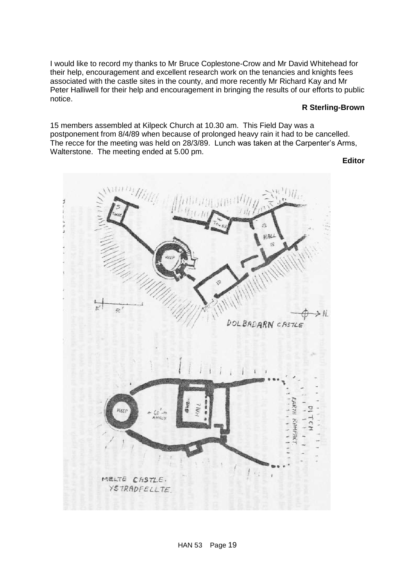I would like to record my thanks to Mr Bruce Coplestone-Crow and Mr David Whitehead for their help, encouragement and excellent research work on the tenancies and knights fees associated with the castle sites in the county, and more recently Mr Richard Kay and Mr Peter Halliwell for their help and encouragement in bringing the results of our efforts to public notice.

#### **R Sterling-Brown**

15 members assembled at Kilpeck Church at 10.30 am. This Field Day was a postponement from 8/4/89 when because of prolonged heavy rain it had to be cancelled. The recce for the meeting was held on 28/3/89. Lunch was taken at the Carpenter's Arms, Walterstone. The meeting ended at 5.00 pm.

**Editor**

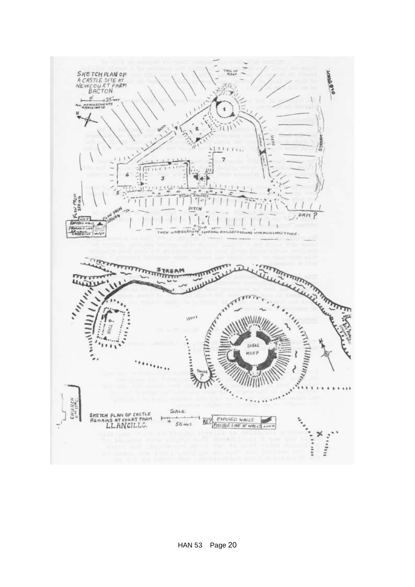

HAN 53 Page 20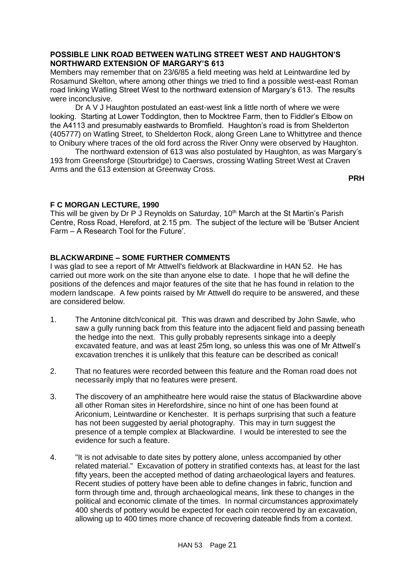# <span id="page-21-0"></span>**POSSIBLE LINK ROAD BETWEEN WATLING STREET WEST AND HAUGHTON'S NORTHWARD EXTENSION OF MARGARY'S 613**

Members may remember that on 23/6/85 a field meeting was held at Leintwardine led by Rosamund Skelton, where among other things we tried to find a possible west-east Roman road linking Watling Street West to the northward extension of Margary's 613. The results were inconclusive.

Dr A V J Haughton postulated an east-west link a little north of where we were looking. Starting at Lower Toddington, then to Mocktree Farm, then to Fiddler's Elbow on the A4113 and presumably eastwards to Bromfield. Haughton's road is from Shelderton (405777) on Watling Street, to Shelderton Rock, along Green Lane to Whittytree and thence to Onibury where traces of the old ford across the River Onny were observed by Haughton.

The northward extension of 613 was also postulated by Haughton, as was Margary's 193 from Greensforge (Stourbridge) to Caersws, crossing Watling Street West at Craven Arms and the 613 extension at Greenway Cross.

**PRH**

# **F C MORGAN LECTURE, 1990**

This will be given by Dr P J Reynolds on Saturday, 10<sup>th</sup> March at the St Martin's Parish Centre, Ross Road, Hereford, at 2.15 pm. The subject of the lecture will be 'Butser Ancient Farm – A Research Tool for the Future'.

# <span id="page-21-1"></span>**BLACKWARDINE – SOME FURTHER COMMENTS**

I was glad to see a report of Mr Attwell's fieldwork at Blackwardine in HAN 52. He has carried out more work on the site than anyone else to date. I hope that he will define the positions of the defences and major features of the site that he has found in relation to the modern landscape. A few points raised by Mr Attwell do require to be answered, and these are considered below.

- 1. The Antonine ditch/conical pit. This was drawn and described by John Sawle, who saw a gully running back from this feature into the adjacent field and passing beneath the hedge into the next. This gully probably represents sinkage into a deeply excavated feature, and was at least 25m long, so unless this was one of Mr Attwell's excavation trenches it is unlikely that this feature can be described as conical!
- 2. That no features were recorded between this feature and the Roman road does not necessarily imply that no features were present.
- 3. The discovery of an amphitheatre here would raise the status of Blackwardine above all other Roman sites in Herefordshire, since no hint of one has been found at Ariconium, Leintwardine or Kenchester. It is perhaps surprising that such a feature has not been suggested by aerial photography. This may in turn suggest the presence of a temple complex at Blackwardine. I would be interested to see the evidence for such a feature.
- 4. "It is not advisable to date sites by pottery alone, unless accompanied by other related material." Excavation of pottery in stratified contexts has, at least for the last fifty years, been the accepted method of dating archaeological layers and features. Recent studies of pottery have been able to define changes in fabric, function and form through time and, through archaeological means, link these to changes in the political and economic climate of the times. In normal circumstances approximately 400 sherds of pottery would be expected for each coin recovered by an excavation, allowing up to 400 times more chance of recovering dateable finds from a context.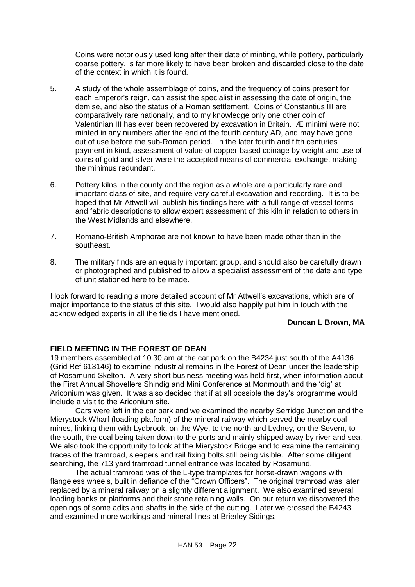Coins were notoriously used long after their date of minting, while pottery, particularly coarse pottery, is far more likely to have been broken and discarded close to the date of the context in which it is found.

- 5. A study of the whole assemblage of coins, and the frequency of coins present for each Emperor's reign, can assist the specialist in assessing the date of origin, the demise, and also the status of a Roman settlement. Coins of Constantius III are comparatively rare nationally, and to my knowledge only one other coin of Valentinian III has ever been recovered by excavation in Britain. Æ minimi were not minted in any numbers after the end of the fourth century AD, and may have gone out of use before the sub-Roman period. In the later fourth and fifth centuries payment in kind, assessment of value of copper-based coinage by weight and use of coins of gold and silver were the accepted means of commercial exchange, making the minimus redundant.
- 6. Pottery kilns in the county and the region as a whole are a particularly rare and important class of site, and require very careful excavation and recording. It is to be hoped that Mr Attwell will publish his findings here with a full range of vessel forms and fabric descriptions to allow expert assessment of this kiln in relation to others in the West Midlands and elsewhere.
- 7. Romano-British Amphorae are not known to have been made other than in the southeast.
- 8. The military finds are an equally important group, and should also be carefully drawn or photographed and published to allow a specialist assessment of the date and type of unit stationed here to be made.

I look forward to reading a more detailed account of Mr Attwell's excavations, which are of major importance to the status of this site. I would also happily put him in touch with the acknowledged experts in all the fields I have mentioned.

#### **Duncan L Brown, MA**

# <span id="page-22-0"></span>**FIELD MEETING IN THE FOREST OF DEAN**

19 members assembled at 10.30 am at the car park on the B4234 just south of the A4136 (Grid Ref 613146) to examine industrial remains in the Forest of Dean under the leadership of Rosamund Skelton. A very short business meeting was held first, when information about the First Annual Shovellers Shindig and Mini Conference at Monmouth and the 'dig' at Ariconium was given. It was also decided that if at all possible the day's programme would include a visit to the Ariconium site.

Cars were left in the car park and we examined the nearby Serridge Junction and the Mierystock Wharf (loading platform) of the mineral railway which served the nearby coal mines, linking them with Lydbrook, on the Wye, to the north and Lydney, on the Severn, to the south, the coal being taken down to the ports and mainly shipped away by river and sea. We also took the opportunity to look at the Mierystock Bridge and to examine the remaining traces of the tramroad, sleepers and rail fixing bolts still being visible. After some diligent searching, the 713 yard tramroad tunnel entrance was located by Rosamund.

The actual tramroad was of the L-type tramplates for horse-drawn wagons with flangeless wheels, built in defiance of the "Crown Officers". The original tramroad was later replaced by a mineral railway on a slightly different alignment. We also examined several loading banks or platforms and their stone retaining walls. On our return we discovered the openings of some adits and shafts in the side of the cutting. Later we crossed the B4243 and examined more workings and mineral lines at Brierley Sidings.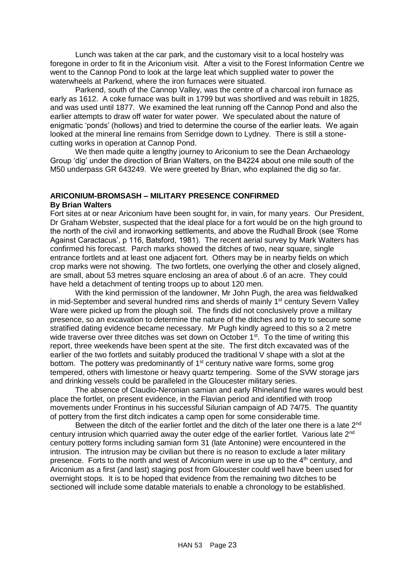Lunch was taken at the car park, and the customary visit to a local hostelry was foregone in order to fit in the Ariconium visit. After a visit to the Forest Information Centre we went to the Cannop Pond to look at the large leat which supplied water to power the waterwheels at Parkend, where the iron furnaces were situated.

Parkend, south of the Cannop Valley, was the centre of a charcoal iron furnace as early as 1612. A coke furnace was built in 1799 but was shortlived and was rebuilt in 1825, and was used until 1877. We examined the leat running off the Cannop Pond and also the earlier attempts to draw off water for water power. We speculated about the nature of enigmatic 'ponds' (hollows) and tried to determine the course of the earlier leats. We again looked at the mineral line remains from Serridge down to Lydney. There is still a stonecutting works in operation at Cannop Pond.

We then made quite a lengthy journey to Ariconium to see the Dean Archaeology Group 'dig' under the direction of Brian Walters, on the B4224 about one mile south of the M50 underpass GR 643249. We were greeted by Brian, who explained the dig so far.

# <span id="page-23-0"></span>**ARICONIUM-BROMSASH – MILITARY PRESENCE CONFIRMED By Brian Walters**

Fort sites at or near Ariconium have been sought for, in vain, for many years. Our President, Dr Graham Webster, suspected that the ideal place for a fort would be on the high ground to the north of the civil and ironworking settlements, and above the Rudhall Brook (see 'Rome Against Caractacus', p 116, Batsford, 1981). The recent aerial survey by Mark Walters has confirmed his forecast. Parch marks showed the ditches of two, near square, single entrance fortlets and at least one adjacent fort. Others may be in nearby fields on which crop marks were not showing. The two fortlets, one overlying the other and closely aligned, are small, about 53 metres square enclosing an area of about .6 of an acre. They could have held a detachment of tenting troops up to about 120 men.

With the kind permission of the landowner, Mr John Pugh, the area was fieldwalked in mid-September and several hundred rims and sherds of mainly  $1<sup>st</sup>$  century Severn Valley Ware were picked up from the plough soil. The finds did not conclusively prove a military presence, so an excavation to determine the nature of the ditches and to try to secure some stratified dating evidence became necessary. Mr Pugh kindly agreed to this so a 2 metre wide traverse over three ditches was set down on October 1<sup>st</sup>. To the time of writing this report, three weekends have been spent at the site. The first ditch excavated was of the earlier of the two fortlets and suitably produced the traditional V shape with a slot at the bottom. The pottery was predominantly of  $1<sup>st</sup>$  century native ware forms, some grog tempered, others with limestone or heavy quartz tempering. Some of the SVW storage jars and drinking vessels could be paralleled in the Gloucester military series.

The absence of Claudio-Neronian samian and early Rhineland fine wares would best place the fortlet, on present evidence, in the Flavian period and identified with troop movements under Frontinus in his successful Silurian campaign of AD 74/75. The quantity of pottery from the first ditch indicates a camp open for some considerable time.

Between the ditch of the earlier fortlet and the ditch of the later one there is a late  $2<sup>nd</sup>$ century intrusion which quarried away the outer edge of the earlier fortlet. Various late 2<sup>nd</sup> century pottery forms including samian form 31 (late Antonine) were encountered in the intrusion. The intrusion may be civilian but there is no reason to exclude a later military presence. Forts to the north and west of Ariconium were in use up to the 4<sup>th</sup> century, and Ariconium as a first (and last) staging post from Gloucester could well have been used for overnight stops. It is to be hoped that evidence from the remaining two ditches to be sectioned will include some datable materials to enable a chronology to be established.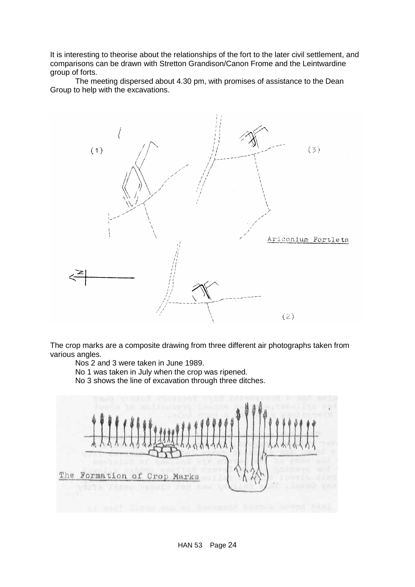It is interesting to theorise about the relationships of the fort to the later civil settlement, and comparisons can be drawn with Stretton Grandison/Canon Frome and the Leintwardine group of forts.

The meeting dispersed about 4.30 pm, with promises of assistance to the Dean Group to help with the excavations.



The crop marks are a composite drawing from three different air photographs taken from various angles.

Nos 2 and 3 were taken in June 1989.

No 1 was taken in July when the crop was ripened.

No 3 shows the line of excavation through three ditches.

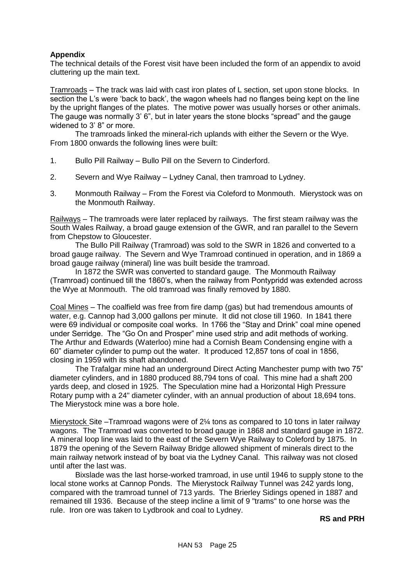# **Appendix**

The technical details of the Forest visit have been included the form of an appendix to avoid cluttering up the main text.

Tramroads – The track was laid with cast iron plates of L section, set upon stone blocks. In section the L's were 'back to back', the wagon wheels had no flanges being kept on the line by the upright flanges of the plates. The motive power was usually horses or other animals. The gauge was normally 3' 6", but in later years the stone blocks "spread" and the gauge widened to 3' 8" or more.

The tramroads linked the mineral-rich uplands with either the Severn or the Wye. From 1800 onwards the following lines were built:

- 1. Bullo Pill Railway Bullo Pill on the Severn to Cinderford.
- 2. Severn and Wye Railway Lydney Canal, then tramroad to Lydney.
- 3. Monmouth Railway From the Forest via Coleford to Monmouth. Mierystock was on the Monmouth Railway.

Railways – The tramroads were later replaced by railways. The first steam railway was the South Wales Railway, a broad gauge extension of the GWR, and ran parallel to the Severn from Chepstow to Gloucester.

The Bullo Pill Railway (Tramroad) was sold to the SWR in 1826 and converted to a broad gauge railway. The Severn and Wye Tramroad continued in operation, and in 1869 a broad gauge railway (mineral) line was built beside the tramroad.

In 1872 the SWR was converted to standard gauge. The Monmouth Railway (Tramroad) continued till the 1860's, when the railway from Pontypridd was extended across the Wye at Monmouth. The old tramroad was finally removed by 1880.

Coal Mines – The coalfield was free from fire damp (gas) but had tremendous amounts of water, e.g. Cannop had 3,000 gallons per minute. It did not close till 1960. In 1841 there were 69 individual or composite coal works. In 1766 the "Stay and Drink" coal mine opened under Serridge. The "Go On and Prosper" mine used strip and adit methods of working. The Arthur and Edwards (Waterloo) mine had a Cornish Beam Condensing engine with a 60" diameter cylinder to pump out the water. It produced 12,857 tons of coal in 1856, closing in 1959 with its shaft abandoned.

The Trafalgar mine had an underground Direct Acting Manchester pump with two 75" diameter cylinders, and in 1880 produced 88,794 tons of coal. This mine had a shaft 200 yards deep, and closed in 1925. The Speculation mine had a Horizontal High Pressure Rotary pump with a 24" diameter cylinder, with an annual production of about 18,694 tons. The Mierystock mine was a bore hole.

Mierystock Site –Tramroad wagons were of 2¼ tons as compared to 10 tons in later railway wagons. The Tramroad was converted to broad gauge in 1868 and standard gauge in 1872. A mineral loop line was laid to the east of the Severn Wye Railway to Coleford by 1875. In 1879 the opening of the Severn Railway Bridge allowed shipment of minerals direct to the main railway network instead of by boat via the Lydney Canal. This railway was not closed until after the last was.

Bixslade was the last horse-worked tramroad, in use until 1946 to supply stone to the local stone works at Cannop Ponds. The Mierystock Railway Tunnel was 242 yards long, compared with the tramroad tunnel of 713 yards. The Brierley Sidings opened in 1887 and remained till 1936. Because of the steep incline a limit of 9 "trams" to one horse was the rule. Iron ore was taken to Lydbrook and coal to Lydney.

#### **RS and PRH**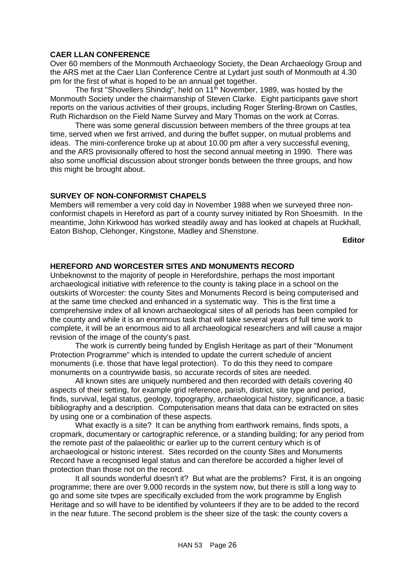# <span id="page-26-0"></span>**CAER LLAN CONFERENCE**

Over 60 members of the Monmouth Archaeology Society, the Dean Archaeology Group and the ARS met at the Caer Llan Conference Centre at Lydart just south of Monmouth at 4.30 pm for the first of what is hoped to be an annual get together.

The first "Shovellers Shindig", held on  $11<sup>th</sup>$  November, 1989, was hosted by the Monmouth Society under the chairmanship of Steven Clarke. Eight participants gave short reports on the various activities of their groups, including Roger Sterling-Brown on Castles, Ruth Richardson on the Field Name Survey and Mary Thomas on the work at Corras.

There was some general discussion between members of the three groups at tea time, served when we first arrived, and during the buffet supper, on mutual problems and ideas. The mini-conference broke up at about 10.00 pm after a very successful evening, and the ARS provisionally offered to host the second annual meeting in 1990. There was also some unofficial discussion about stronger bonds between the three groups, and how this might be brought about.

# **SURVEY OF NON-CONFORMIST CHAPELS**

Members will remember a very cold day in November 1988 when we surveyed three nonconformist chapels in Hereford as part of a county survey initiated by Ron Shoesmith. In the meantime, John Kirkwood has worked steadily away and has looked at chapels at Ruckhall, Eaton Bishop, Clehonger, Kingstone, Madley and Shenstone.

**Editor**

# <span id="page-26-1"></span>**HEREFORD AND WORCESTER SITES AND MONUMENTS RECORD**

Unbeknownst to the majority of people in Herefordshire, perhaps the most important archaeological initiative with reference to the county is taking place in a school on the outskirts of Worcester: the county Sites and Monuments Record is being computerised and at the same time checked and enhanced in a systematic way. This is the first time a comprehensive index of all known archaeological sites of all periods has been compiled for the county and while it is an enormous task that will take several years of full time work to complete, it will be an enormous aid to all archaeological researchers and will cause a major revision of the image of the county's past.

The work is currently being funded by English Heritage as part of their "Monument Protection Programme" which is intended to update the current schedule of ancient monuments (i.e. those that have legal protection). To do this they need to compare monuments on a countrywide basis, so accurate records of sites are needed.

All known sites are uniquely numbered and then recorded with details covering 40 aspects of their setting, for example grid reference, parish, district, site type and period, finds, survival, legal status, geology, topography, archaeological history, significance, a basic bibliography and a description. Computerisation means that data can be extracted on sites by using one or a combination of these aspects.

What exactly is a site? It can be anything from earthwork remains, finds spots, a cropmark, documentary or cartographic reference, or a standing building; for any period from the remote past of the palaeolithic or earlier up to the current century which is of archaeological or historic interest. Sites recorded on the county Sites and Monuments Record have a recognised legal status and can therefore be accorded a higher level of protection than those not on the record.

It all sounds wonderful doesn't it? But what are the problems? First, it is an ongoing programme; there are over 9,000 records in the system now, but there is still a long way to go and some site tvpes are specifically excluded from the work programme by English Heritage and so will have to be identified by volunteers if they are to be added to the record in the near future. The second problem is the sheer size of the task: the county covers a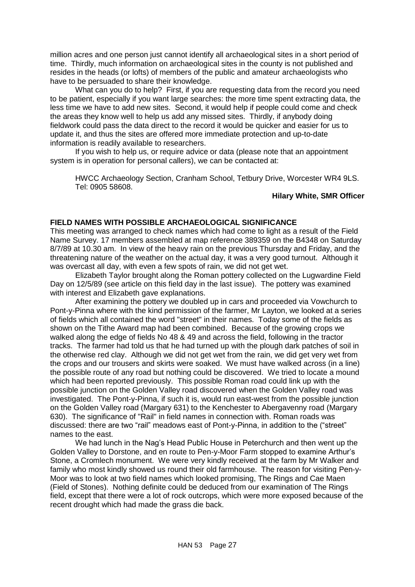million acres and one person just cannot identify all archaeological sites in a short period of time. Thirdly, much information on archaeological sites in the county is not published and resides in the heads (or lofts) of members of the public and amateur archaeologists who have to be persuaded to share their knowledge.

What can you do to help? First, if you are requesting data from the record you need to be patient, especially if you want large searches: the more time spent extracting data, the less time we have to add new sites. Second, it would help if people could come and check the areas they know well to help us add any missed sites. Thirdly, if anybody doing fieldwork could pass the data direct to the record it would be quicker and easier for us to update it, and thus the sites are offered more immediate protection and up-to-date information is readily available to researchers.

If you wish to help us, or require advice or data (please note that an appointment system is in operation for personal callers), we can be contacted at:

HWCC Archaeology Section, Cranham School, Tetbury Drive, Worcester WR4 9LS. Tel: 0905 58608.

# **Hilary White, SMR Officer**

# <span id="page-27-0"></span>**FIELD NAMES WITH POSSIBLE ARCHAEOLOGICAL SIGNIFICANCE**

This meeting was arranged to check names which had come to light as a result of the Field Name Survey. 17 members assembled at map reference 389359 on the B4348 on Saturday 8/7/89 at 10.30 am. In view of the heavy rain on the previous Thursday and Friday, and the threatening nature of the weather on the actual day, it was a very good turnout. Although it was overcast all day, with even a few spots of rain, we did not get wet.

Elizabeth Taylor brought along the Roman pottery collected on the Lugwardine Field Day on 12/5/89 (see article on this field day in the last issue). The pottery was examined with interest and Elizabeth gave explanations.

After examining the pottery we doubled up in cars and proceeded via Vowchurch to Pont-y-Pinna where with the kind permission of the farmer, Mr Layton, we looked at a series of fields which all contained the word "street" in their names. Today some of the fields as shown on the Tithe Award map had been combined. Because of the growing crops we walked along the edge of fields No 48 & 49 and across the field, following in the tractor tracks. The farmer had told us that he had turned up with the plough dark patches of soil in the otherwise red clay. Although we did not get wet from the rain, we did get very wet from the crops and our trousers and skirts were soaked. We must have walked across (in a line) the possible route of any road but nothing could be discovered. We tried to locate a mound which had been reported previously. This possible Roman road could link up with the possible junction on the Golden Valley road discovered when the Golden Valley road was investigated. The Pont-y-Pinna, if such it is, would run east-west from the possible junction on the Golden Valley road (Margary 631) to the Kenchester to Abergavenny road (Margary 630). The significance of "Rail" in field names in connection with. Roman roads was discussed: there are two "rail" meadows east of Pont-y-Pinna, in addition to the ("street" names to the east.

We had lunch in the Nag's Head Public House in Peterchurch and then went up the Golden Valley to Dorstone, and en route to Pen-y-Moor Farm stopped to examine Arthur's Stone, a Cromlech monument. We were very kindly received at the farm by Mr Walker and family who most kindly showed us round their old farmhouse. The reason for visiting Pen-y-Moor was to look at two field names which looked promising, The Rings and Cae Maen (Field of Stones). Nothing definite could be deduced from our examination of The Rings field, except that there were a lot of rock outcrops, which were more exposed because of the recent drought which had made the grass die back.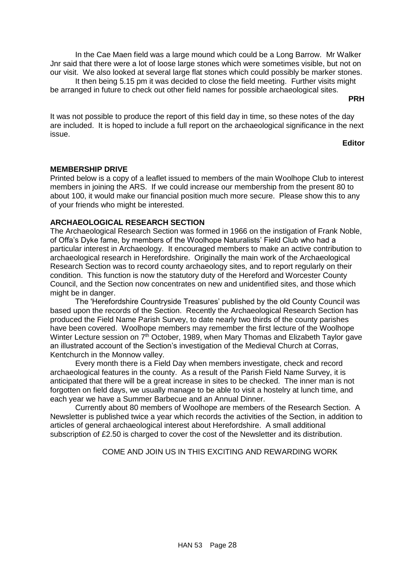In the Cae Maen field was a large mound which could be a Long Barrow. Mr Walker Jnr said that there were a lot of loose large stones which were sometimes visible, but not on our visit. We also looked at several large flat stones which could possibly be marker stones.

It then being 5.15 pm it was decided to close the field meeting. Further visits might be arranged in future to check out other field names for possible archaeological sites.

**PRH**

It was not possible to produce the report of this field day in time, so these notes of the day are included. It is hoped to include a full report on the archaeological significance in the next issue.

**Editor**

# **MEMBERSHIP DRIVE**

Printed below is a copy of a leaflet issued to members of the main Woolhope Club to interest members in joining the ARS. If we could increase our membership from the present 80 to about 100, it would make our financial position much more secure. Please show this to any of your friends who might be interested.

# <span id="page-28-0"></span>**ARCHAEOLOGICAL RESEARCH SECTION**

The Archaeological Research Section was formed in 1966 on the instigation of Frank Noble, of Offa's Dyke fame, by members of the Woolhope Naturalists' Field Club who had a particular interest in Archaeology. It encouraged members to make an active contribution to archaeological research in Herefordshire. Originally the main work of the Archaeological Research Section was to record county archaeology sites, and to report regularly on their condition. This function is now the statutory duty of the Hereford and Worcester County Council, and the Section now concentrates on new and unidentified sites, and those which might be in danger.

The 'Herefordshire Countryside Treasures' published by the old County Council was based upon the records of the Section. Recently the Archaeological Research Section has produced the Field Name Parish Survey, to date nearly two thirds of the county parishes have been covered. Woolhope members may remember the first lecture of the Woolhope Winter Lecture session on 7<sup>th</sup> October, 1989, when Mary Thomas and Elizabeth Taylor gave an illustrated account of the Section's investigation of the Medieval Church at Corras, Kentchurch in the Monnow valley.

Every month there is a Field Day when members investigate, check and record archaeological features in the county. As a result of the Parish Field Name Survey, it is anticipated that there will be a great increase in sites to be checked. The inner man is not forgotten on field days, we usually manage to be able to visit a hostelry at lunch time, and each year we have a Summer Barbecue and an Annual Dinner.

Currently about 80 members of Woolhope are members of the Research Section. A Newsletter is published twice a year which records the activities of the Section, in addition to articles of general archaeological interest about Herefordshire. A small additional subscription of £2.50 is charged to cover the cost of the Newsletter and its distribution.

COME AND JOIN US IN THIS EXCITING AND REWARDING WORK